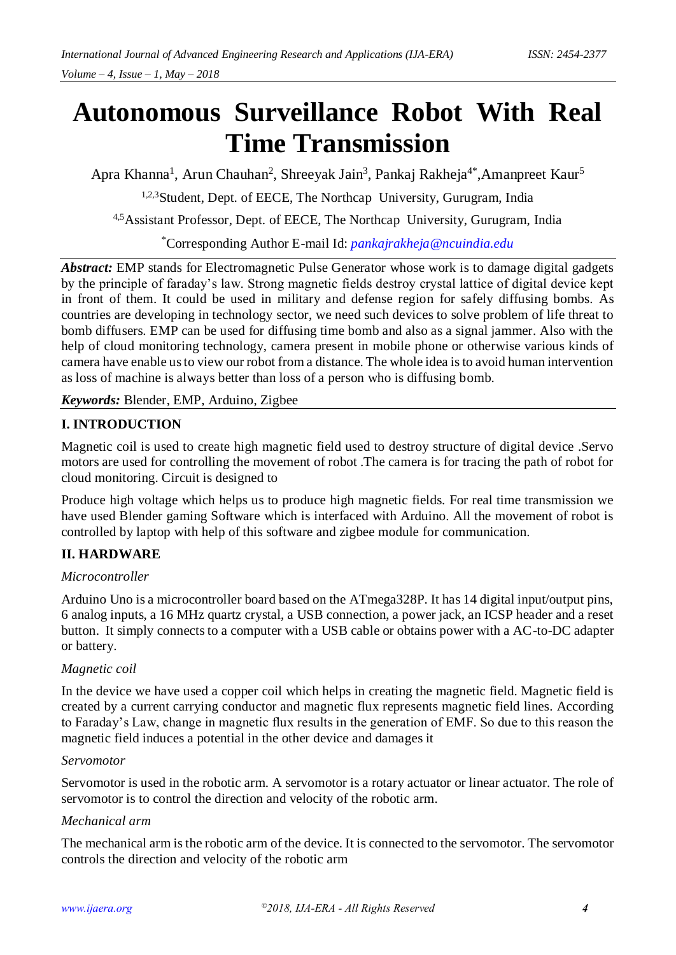# **Autonomous Surveillance Robot With Real Time Transmission**

Apra Khanna<sup>1</sup>, Arun Chauhan<sup>2</sup>, Shreeyak Jain<sup>3</sup>, Pankaj Rakheja<sup>4\*</sup>,Amanpreet Kaur<sup>5</sup> <sup>1,2,3</sup>Student, Dept. of EECE, The Northcap University, Gurugram, India

4,5Assistant Professor, Dept. of EECE, The Northcap University, Gurugram, India

\*Corresponding Author E-mail Id: *[pankajrakheja@ncuindia.edu](mailto:pankajrakheja@ncuindia.edu)*

*Abstract:* EMP stands for Electromagnetic Pulse Generator whose work is to damage digital gadgets by the principle of faraday's law. Strong magnetic fields destroy crystal lattice of digital device kept in front of them. It could be used in military and defense region for safely diffusing bombs. As countries are developing in technology sector, we need such devices to solve problem of life threat to bomb diffusers. EMP can be used for diffusing time bomb and also as a signal jammer. Also with the help of cloud monitoring technology, camera present in mobile phone or otherwise various kinds of camera have enable us to view our robot from a distance. The whole idea is to avoid human intervention as loss of machine is always better than loss of a person who is diffusing bomb.

*Keywords:* Blender, EMP, Arduino, Zigbee

# **I. INTRODUCTION**

Magnetic coil is used to create high magnetic field used to destroy structure of digital device .Servo motors are used for controlling the movement of robot .The camera is for tracing the path of robot for cloud monitoring. Circuit is designed to

Produce high voltage which helps us to produce high magnetic fields. For real time transmission we have used Blender gaming Software which is interfaced with Arduino. All the movement of robot is controlled by laptop with help of this software and zigbee module for communication.

# **II. HARDWARE**

## *Microcontroller*

Arduino Uno is a microcontroller board based on the ATmega328P. It has 14 digital input/output pins, 6 analog inputs, a 16 MHz quartz crystal, a USB connection, a power jack, an ICSP header and a reset button. It simply connects to a computer with a USB cable or obtains power with a AC-to-DC adapter or battery.

## *Magnetic coil*

In the device we have used a copper coil which helps in creating the magnetic field. Magnetic field is created by a current carrying conductor and magnetic flux represents magnetic field lines. According to Faraday's Law, change in magnetic flux results in the generation of EMF. So due to this reason the magnetic field induces a potential in the other device and damages it

#### *Servomotor*

Servomotor is used in the robotic arm. A servomotor is a rotary actuator or linear actuator. The role of servomotor is to control the direction and velocity of the robotic arm.

## *Mechanical arm*

The mechanical arm is the robotic arm of the device. It is connected to the servomotor. The servomotor controls the direction and velocity of the robotic arm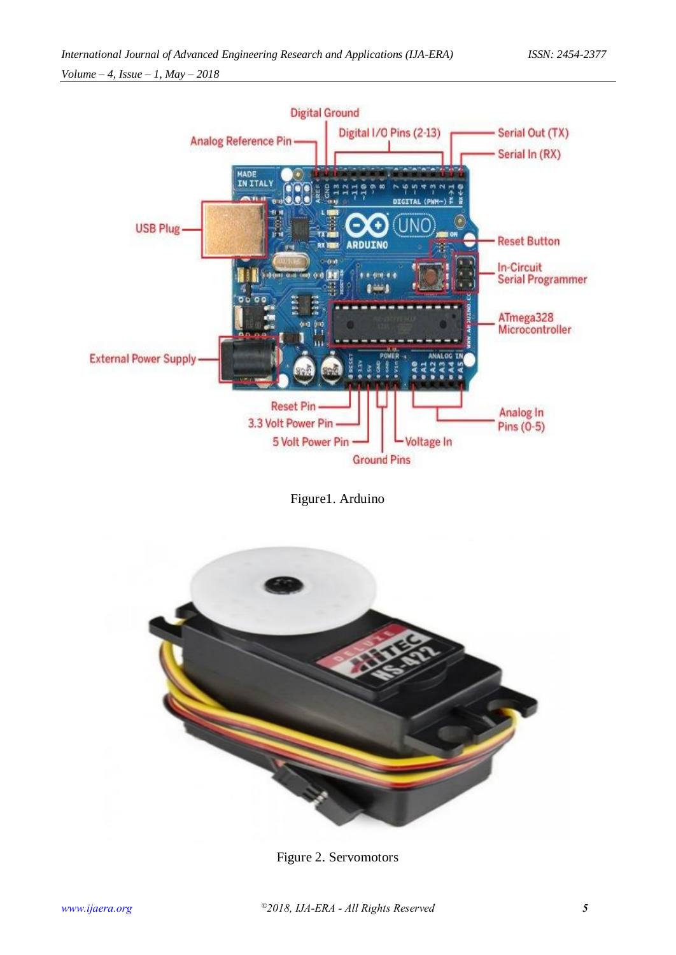

Figure1. Arduino



Figure 2. Servomotors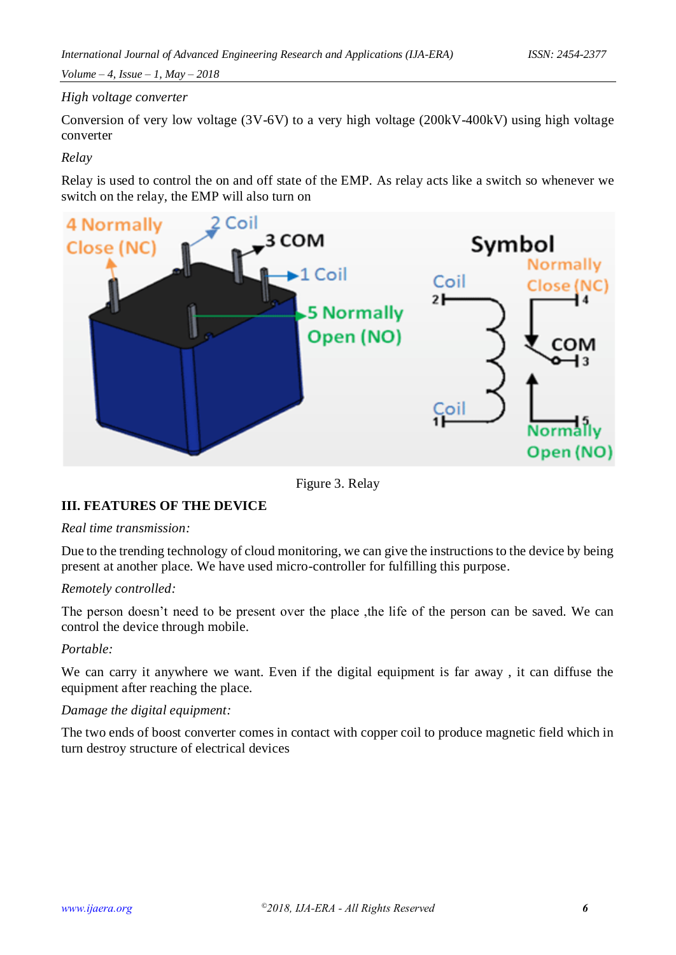# *High voltage converter*

Conversion of very low voltage (3V-6V) to a very high voltage (200kV-400kV) using high voltage converter

## *Relay*

Relay is used to control the on and off state of the EMP. As relay acts like a switch so whenever we switch on the relay, the EMP will also turn on



Figure 3. Relay

# **III. FEATURES OF THE DEVICE**

#### *Real time transmission:*

Due to the trending technology of cloud monitoring, we can give the instructions to the device by being present at another place. We have used micro-controller for fulfilling this purpose.

## *Remotely controlled:*

The person doesn't need to be present over the place ,the life of the person can be saved. We can control the device through mobile.

## *Portable:*

We can carry it anywhere we want. Even if the digital equipment is far away , it can diffuse the equipment after reaching the place.

## *Damage the digital equipment:*

The two ends of boost converter comes in contact with copper coil to produce magnetic field which in turn destroy structure of electrical devices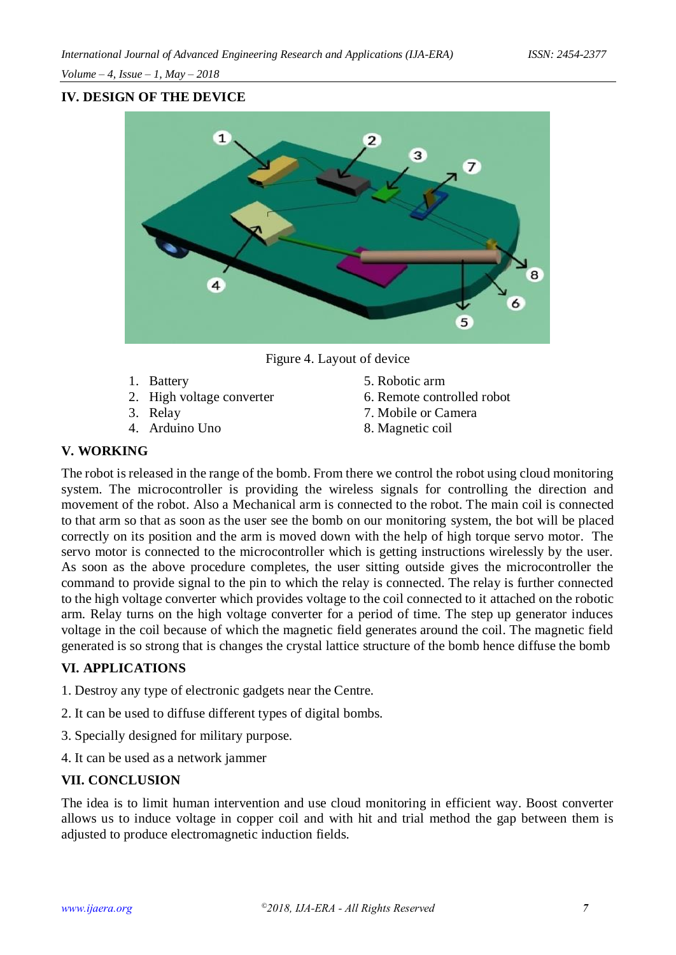*Volume – 4, Issue – 1, May – 2018*

# **IV. DESIGN OF THE DEVICE**



Figure 4. Layout of device

- 
- 
- 
- 
- 1. Battery 5. Robotic arm
- 2. High voltage converter 6. Remote controlled robot
- 3. Relay 7. Mobile or Camera
- 4. Arduino Uno 8. Magnetic coil

# **V. WORKING**

The robot is released in the range of the bomb. From there we control the robot using cloud monitoring system. The microcontroller is providing the wireless signals for controlling the direction and movement of the robot. Also a Mechanical arm is connected to the robot. The main coil is connected to that arm so that as soon as the user see the bomb on our monitoring system, the bot will be placed correctly on its position and the arm is moved down with the help of high torque servo motor. The servo motor is connected to the microcontroller which is getting instructions wirelessly by the user. As soon as the above procedure completes, the user sitting outside gives the microcontroller the command to provide signal to the pin to which the relay is connected. The relay is further connected to the high voltage converter which provides voltage to the coil connected to it attached on the robotic arm. Relay turns on the high voltage converter for a period of time. The step up generator induces voltage in the coil because of which the magnetic field generates around the coil. The magnetic field generated is so strong that is changes the crystal lattice structure of the bomb hence diffuse the bomb

# **VI. APPLICATIONS**

- 1. Destroy any type of electronic gadgets near the Centre.
- 2. It can be used to diffuse different types of digital bombs.
- 3. Specially designed for military purpose.
- 4. It can be used as a network jammer

## **VII. CONCLUSION**

The idea is to limit human intervention and use cloud monitoring in efficient way. Boost converter allows us to induce voltage in copper coil and with hit and trial method the gap between them is adjusted to produce electromagnetic induction fields.